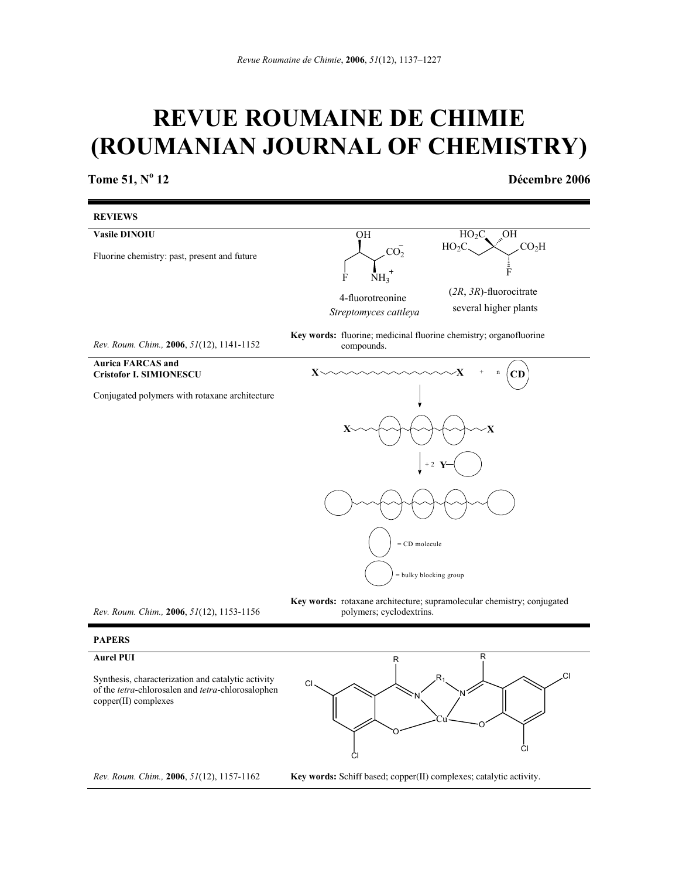# **REVUE ROUMAINE DE CHIMIE (ROUMANIAN JOURNAL OF CHEMISTRY)**

**Tome 51, N<sup>o</sup>**

 **12 Décembre 2006** 



*Rev. Roum. Chim.,* **2006**, *51*(12), 1153-1156

**Key words:** rotaxane architecture; supramolecular chemistry; conjugated polymers; cyclodextrins.

# **PAPERS**

## **Aurel PUI**

Synthesis, characterization and catalytic activity of the *tetra*-chlorosalen and *tetra*-chlorosalophen copper(II) complexes



*Rev. Roum. Chim.,* **2006**, *51*(12), 1157-1162

**Key words:** Schiff based; copper(II) complexes; catalytic activity.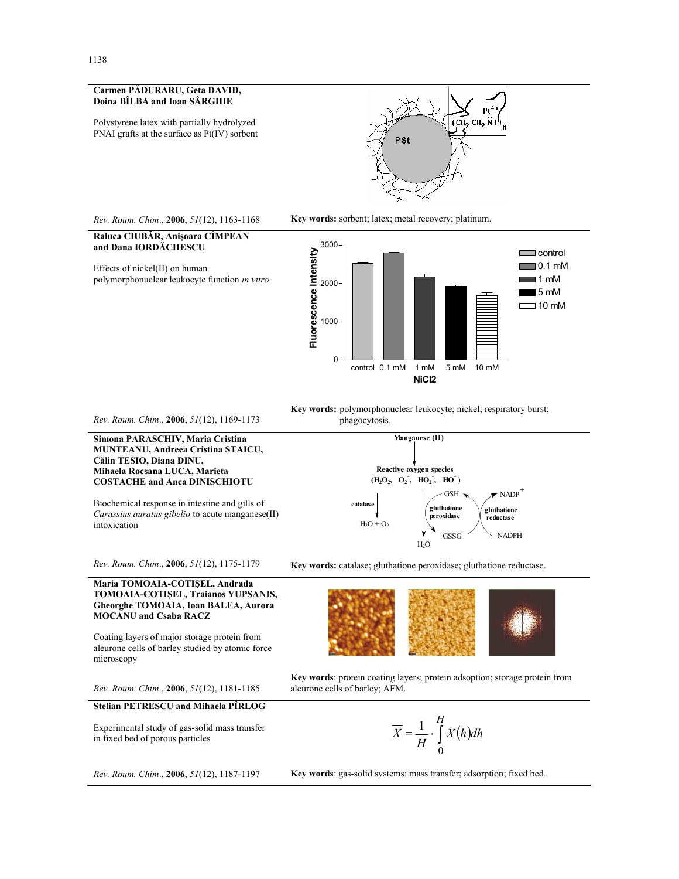#### **Carmen PĂDURARU, Geta DAVID, Doina BÎLBA and Ioan SÂRGHIE**

Polystyrene latex with partially hydrolyzed PNAI grafts at the surface as Pt(IV) sorbent





**Raluca CIUBĂR, Anişoara CÎMPEAN and Dana IORDĂCHESCU** 

Effects of nickel(II) on human polymorphonuclear leukocyte function *in vitro*





*Rev. Roum. Chim*., **2006**, *51*(12), 1169-1173

#### **Simona PARASCHIV, Maria Cristina MUNTEANU, Andreea Cristina STAICU, Călin TESIO, Diana DINU, Mihaela Rocsana LUCA, Marieta COSTACHE and Anca DINISCHIOTU**

Biochemical response in intestine and gills of *Carassius auratus gibelio* to acute manganese(II) intoxication

*Rev. Roum. Chim*., **2006**, *51*(12), 1175-1179

#### **Maria TOMOAIA-COTIŞEL, Andrada TOMOAIA-COTIŞEL, Traianos YUPSANIS, Gheorghe TOMOAIA, Ioan BALEA, Aurora MOCANU and Csaba RACZ**

Coating layers of major storage protein from aleurone cells of barley studied by atomic force microscopy

*Rev. Roum. Chim*., **2006**, *51*(12), 1181-1185

### **Stelian PETRESCU and Mihaela PÎRLOG**

Experimental study of gas-solid mass transfer in fixed bed of porous particles



**Key words:** polymorphonuclear leukocyte; nickel; respiratory burst; phagocytosis.



**Key words:** catalase; gluthatione peroxidase; gluthatione reductase.

**Key words**: protein coating layers; protein adsoption; storage protein from aleurone cells of barley; AFM.

$$
\overline{X} = \frac{1}{H} \cdot \int_{0}^{H} X(h) dh
$$

**Key words**: gas-solid systems; mass transfer; adsorption; fixed bed.